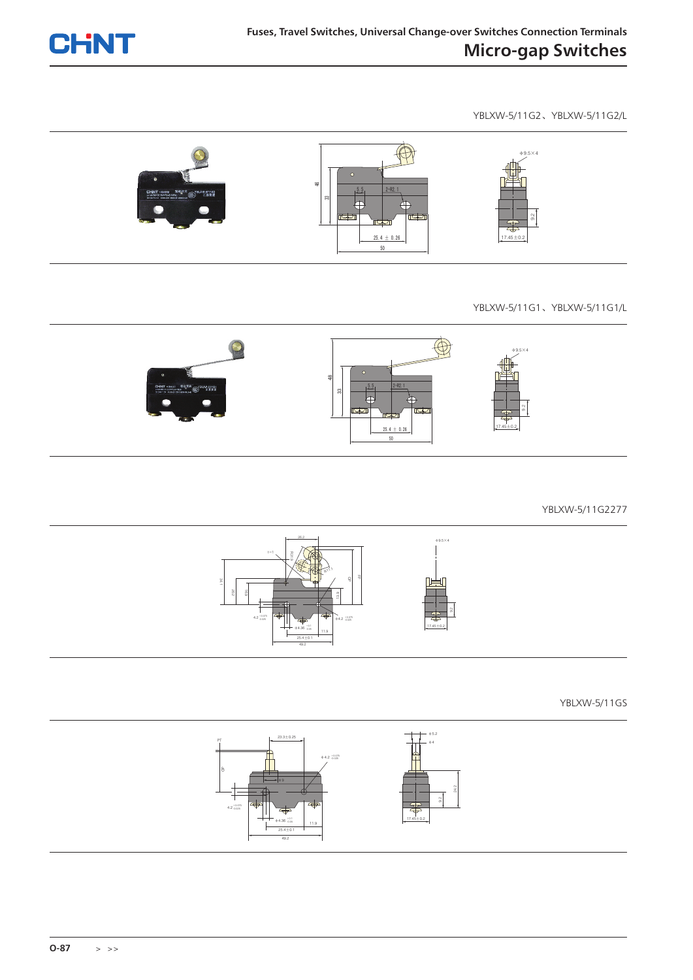

YBLXW-5/11G2、YBLXW-5/11G2/L



## YBLXW-5/11G1、YBLXW-5/11G1/L



YBLXW-5/11G2277



YBLXW-5/11GS